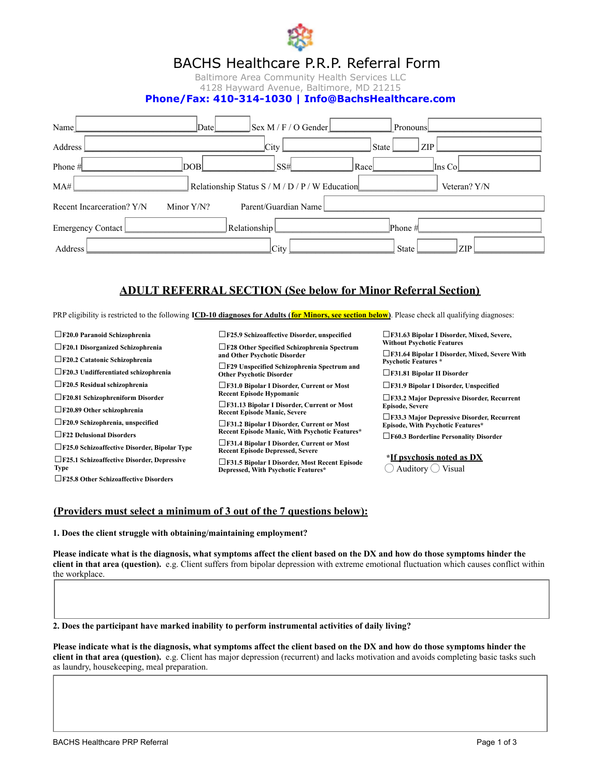

# BACHS Healthcare P.R.P. Referral Form

Baltimore Area Community Health Services LLC 4128 Hayward Avenue, Baltimore, MD 21215

### **Phone/Fax: 410-314-1030 | Info@BachsHealthcare.com**

| Name $\lfloor$                                     | Date                              | Sex M/E/OGender                           | Pronouns                            |
|----------------------------------------------------|-----------------------------------|-------------------------------------------|-------------------------------------|
| Address                                            |                                   | City                                      | State<br>ZIP                        |
| Phone #                                            | DOB                               | SSH                                       | Ins Col<br>Race                     |
| MA#                                                |                                   | Relationship Status S/M / D/P/W Education | Veteran? $\widehat{Y}(\widehat{N})$ |
| Recent Incarceration? $(\widehat{Y})(\widehat{N})$ | $Minor(\widehat{Y})(\widehat{N})$ | Parent/Guardian Name                      |                                     |
| Emergency Contact                                  |                                   | Relationship $\Box$                       | Phone #                             |
| Address                                            |                                   | <b>City</b>                               | ZIP<br><b>State</b>                 |

### **ADULT REFERRAL SECTION (See below for Minor Referral Section)**

PRP eligibility is restricted to the following **ICD-10 diagnoses for Adults (for Minors, see section below)**. Please check all qualifying diagnoses:

| $\Box$ F20.0 Paranoid Schizophrenia<br>F20.1 Disorganized Schizophrenia<br>$\Box$ F20.2 Catatonic Schizophrenia<br>$\Box$ F20.3 Undifferentiated schizophrenia<br>$\Box$ F20.5 Residual schizophrenia<br>$\Box$ F20.81 Schizophreniform Disorder<br>$\Box$ F20.89 Other schizophrenia<br>$\Box$ F20.9 Schizophrenia, unspecified<br>$\Box$ F22 Delusional Disorders<br>□F25.0 Schizoaffective Disorder, Bipolar Type<br>F25.1 Schizoaffective Disorder, Depressive<br>Type<br>□F25.8 Other Schizoaffective Disorders | □F25.9 Schizoaffective Disorder, unspecified<br>□F28 Other Specified Schizophrenia Spectrum<br>and Other Psychotic Disorder<br>□F29 Unspecified Schizophrenia Spectrum and<br><b>Other Psychotic Disorder</b><br> ∟ F31.0 Bipolar I Disorder, Current or Most<br><b>Recent Episode Hypomanic</b><br>□F31.13 Bipolar I Disorder, Current or Most<br><b>Recent Episode Manic, Severe</b><br>□F31.2 Bipolar I Disorder, Current or Most<br><b>Recent Episode Manic, With Psychotic Features*</b><br>□F31.4 Bipolar I Disorder, Current or Most<br><b>Recent Episode Depressed, Severe</b><br>F31.5 Bipolar I Disorder, Most Recent Episode<br>Depressed, With Psychotic Features* | □F31.63 Bipolar I Disorder, Mixed, Severe,<br><b>Without Psychotic Features</b><br>□F31.64 Bipolar I Disorder, Mixed, Severe With<br><b>Psychotic Features *</b><br>$\Box$ F31.81 Bipolar II Disorder<br>$\Box$ F31.9 Bipolar I Disorder, Unspecified<br>□F33.2 Major Depressive Disorder, Recurrent<br><b>Episode, Severe</b><br>□F33.3 Major Depressive Disorder, Recurrent<br><b>Episode, With Psychotic Features*</b><br>□F60.3 Borderline Personality Disorder<br>*If psychosis noted as DX<br>Auditory () Visual |
|----------------------------------------------------------------------------------------------------------------------------------------------------------------------------------------------------------------------------------------------------------------------------------------------------------------------------------------------------------------------------------------------------------------------------------------------------------------------------------------------------------------------|--------------------------------------------------------------------------------------------------------------------------------------------------------------------------------------------------------------------------------------------------------------------------------------------------------------------------------------------------------------------------------------------------------------------------------------------------------------------------------------------------------------------------------------------------------------------------------------------------------------------------------------------------------------------------------|------------------------------------------------------------------------------------------------------------------------------------------------------------------------------------------------------------------------------------------------------------------------------------------------------------------------------------------------------------------------------------------------------------------------------------------------------------------------------------------------------------------------|
|----------------------------------------------------------------------------------------------------------------------------------------------------------------------------------------------------------------------------------------------------------------------------------------------------------------------------------------------------------------------------------------------------------------------------------------------------------------------------------------------------------------------|--------------------------------------------------------------------------------------------------------------------------------------------------------------------------------------------------------------------------------------------------------------------------------------------------------------------------------------------------------------------------------------------------------------------------------------------------------------------------------------------------------------------------------------------------------------------------------------------------------------------------------------------------------------------------------|------------------------------------------------------------------------------------------------------------------------------------------------------------------------------------------------------------------------------------------------------------------------------------------------------------------------------------------------------------------------------------------------------------------------------------------------------------------------------------------------------------------------|

#### **(Providers must select a minimum of 3 out of the 7 questions below):**

**1. Does the client struggle with obtaining/maintaining employment?**

**Please indicate what is the diagnosis, what symptoms affect the client based on the DX and how do those symptoms hinder the client in that area (question).** e.g. Client suffers from bipolar depression with extreme emotional fluctuation which causes conflict within the workplace.

 $\Box$ \_\_\_\_\_\_\_\_\_\_\_\_\_\_\_\_\_\_\_\_\_\_\_\_\_\_\_\_\_\_\_\_\_\_\_\_\_\_\_\_\_\_\_\_\_\_\_\_\_\_\_\_\_\_\_\_\_\_\_\_\_\_\_\_\_\_\_\_\_\_\_\_\_\_\_\_\_\_\_\_\_\_\_\_\_\_\_\_\_\_\_\_\_\_\_\_\_\_\_\_\_\_\_\_\_\_\_\_\_\_\_ \_\_\_\_\_\_\_\_\_\_\_\_\_\_\_\_\_\_\_\_\_\_\_\_\_\_\_\_\_\_\_\_\_\_\_\_\_\_\_\_\_\_\_\_\_\_\_\_\_\_\_\_\_\_\_\_\_\_\_\_\_\_\_\_\_\_\_\_\_\_\_\_\_\_\_\_\_\_\_\_\_\_\_\_\_\_\_\_\_\_\_\_\_\_\_\_\_\_\_\_\_\_\_\_\_\_\_\_\_\_\_

**2. Does the participant have marked inability to perform instrumental activities of daily living?**

**Please indicate what is the diagnosis, what symptoms affect the client based on the DX and how do those symptoms hinder the client in that area (question).** e.g. Client has major depression (recurrent) and lacks motivation and avoids completing basic tasks such as laundry, housekeeping, meal preparation.

 $\Box$  . The contribution of the contribution of the contribution of the contribution of the contribution of the contribution of the contribution of the contribution of the contribution of the contribution of the contributi  $\Box$  $\Box$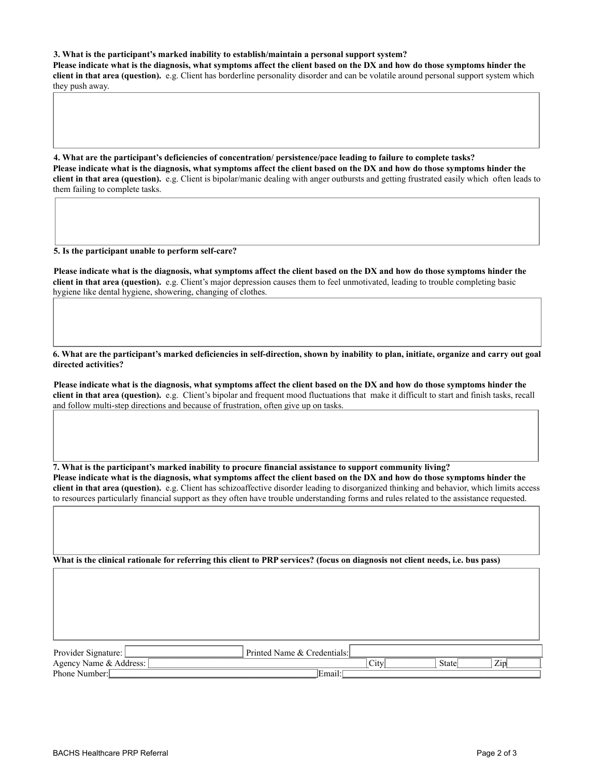#### **3. What is the participant's marked inability to establish/maintain a personal support system?**

**Please indicate what is the diagnosis, what symptoms affect the client based on the DX and how do those symptoms hinder the client in that area (question).** e.g. Client has borderline personality disorder and can be volatile around personal support system which they push away.

 $\overline{\mathcal{L}}$  , and the state of the state of the state of the state of the state of the state of the state of the state of the state of the state of the state of the state of the state of the state of the state of the stat \_\_\_\_\_\_\_\_\_\_\_\_\_\_\_\_\_\_\_\_\_\_\_\_\_\_\_\_\_\_\_\_\_\_\_\_\_\_\_\_\_\_\_\_\_\_\_\_\_\_\_\_\_\_\_\_\_\_\_\_\_\_\_\_\_\_\_\_\_\_\_\_\_\_\_\_\_\_\_\_\_\_\_\_\_\_\_\_\_\_\_\_\_\_\_\_\_\_\_\_\_\_\_\_\_\_\_\_\_\_\_ \_\_\_\_\_\_\_\_\_\_\_\_\_\_\_\_\_\_\_\_\_\_\_\_\_\_\_\_\_\_\_\_\_\_\_\_\_\_\_\_\_\_\_\_\_\_\_\_\_\_\_\_\_\_\_\_\_\_\_\_\_\_\_\_\_\_\_\_\_\_\_\_\_\_\_\_\_\_\_\_\_\_\_\_\_\_\_\_\_\_\_\_\_\_\_\_\_\_\_\_\_\_\_\_\_\_\_\_\_\_\_ \_\_\_\_\_\_\_\_\_\_\_\_\_\_\_\_\_\_\_\_\_\_\_\_\_\_\_\_\_\_\_\_\_\_\_\_\_\_\_\_\_\_\_\_\_\_\_\_\_\_\_\_\_\_\_\_\_\_\_\_\_\_\_\_\_\_\_\_\_\_\_\_\_\_\_\_\_\_\_\_\_\_\_\_\_\_\_\_\_\_\_\_\_\_\_\_\_\_\_\_\_\_\_\_\_\_\_\_\_\_\_

**4. What are the participant's deficiencies of concentration/ persistence/pace leading to failure to complete tasks? Please indicate what is the diagnosis, what symptoms affect the client based on the DX and how do those symptoms hinder the client in that area (question).** e.g. Client is bipolar/manic dealing with anger outbursts and getting frustrated easily which often leads to them failing to complete tasks.

 $\overline{a}$  , and the state of the state of the state of the state of the state of the state of the state of the state of the state of the state of the state of the state of the state of the state of the state of the state o \_\_\_\_\_\_\_\_\_\_\_\_\_\_\_\_\_\_\_\_\_\_\_\_\_\_\_\_\_\_\_\_\_\_\_\_\_\_\_\_\_\_\_\_\_\_\_\_\_\_\_\_\_\_\_\_\_\_\_\_\_\_\_\_\_\_\_\_\_\_\_\_\_\_\_\_\_\_\_\_\_\_\_\_\_\_\_\_\_\_\_\_\_\_\_\_\_\_\_\_\_\_\_\_\_\_\_\_\_\_\_ \_\_\_\_\_\_\_\_\_\_\_\_\_\_\_\_\_\_\_\_\_\_\_\_\_\_\_\_\_\_\_\_\_\_\_\_\_\_\_\_\_\_\_\_\_\_\_\_\_\_\_\_\_\_\_\_\_\_\_\_\_\_\_\_\_\_\_\_\_\_\_\_\_\_\_\_\_\_\_\_\_\_\_\_\_\_\_\_\_\_\_\_\_\_\_\_\_\_\_\_\_\_\_\_\_\_\_\_\_\_\_ \_\_\_\_\_\_\_\_\_\_\_\_\_\_\_\_\_\_\_\_\_\_\_\_\_\_\_\_\_\_\_\_\_\_\_\_\_\_\_\_\_\_\_\_\_\_\_\_\_\_\_\_\_\_\_\_\_\_\_\_\_\_\_\_\_\_\_\_\_\_\_\_\_\_\_\_\_\_\_\_\_\_\_\_\_\_\_\_\_\_\_\_\_\_\_\_\_\_\_\_\_\_\_\_\_\_\_\_\_\_\_

#### **5. Is the participant unable to perform self-care?**

**Please indicate what is the diagnosis, what symptoms affect the client based on the DX and how do those symptoms hinder the client in that area (question).** e.g. Client's major depression causes them to feel unmotivated, leading to trouble completing basic hygiene like dental hygiene, showering, changing of clothes.

 $\mathcal{L}_\mathcal{L} = \{ \mathcal{L}_\mathcal{L} = \{ \mathcal{L}_\mathcal{L} = \{ \mathcal{L}_\mathcal{L} = \{ \mathcal{L}_\mathcal{L} = \{ \mathcal{L}_\mathcal{L} = \{ \mathcal{L}_\mathcal{L} = \{ \mathcal{L}_\mathcal{L} = \{ \mathcal{L}_\mathcal{L} = \{ \mathcal{L}_\mathcal{L} = \{ \mathcal{L}_\mathcal{L} = \{ \mathcal{L}_\mathcal{L} = \{ \mathcal{L}_\mathcal{L} = \{ \mathcal{L}_\mathcal{L} = \{ \mathcal{L}_\mathcal{$ \_\_\_\_\_\_\_\_\_\_\_\_\_\_\_\_\_\_\_\_\_\_\_\_\_\_\_\_\_\_\_\_\_\_\_\_\_\_\_\_\_\_\_\_\_\_\_\_\_\_\_\_\_\_\_\_\_\_\_\_\_\_\_\_\_\_\_\_\_\_\_\_\_\_\_\_\_\_\_\_\_\_\_\_\_\_\_\_\_\_\_\_\_\_\_\_\_\_\_\_\_\_\_\_\_\_\_\_\_\_\_ \_\_\_\_\_\_\_\_\_\_\_\_\_\_\_\_\_\_\_\_\_\_\_\_\_\_\_\_\_\_\_\_\_\_\_\_\_\_\_\_\_\_\_\_\_\_\_\_\_\_\_\_\_\_\_\_\_\_\_\_\_\_\_\_\_\_\_\_\_\_\_\_\_\_\_\_\_\_\_\_\_\_\_\_\_\_\_\_\_\_\_\_\_\_\_\_\_\_\_\_\_\_\_\_\_\_\_\_\_\_\_ \_\_\_\_\_\_\_\_\_\_\_\_\_\_\_\_\_\_\_\_\_\_\_\_\_\_\_\_\_\_\_\_\_\_\_\_\_\_\_\_\_\_\_\_\_\_\_\_\_\_\_\_\_\_\_\_\_\_\_\_\_\_\_\_\_\_\_\_\_\_\_\_\_\_\_\_\_\_\_\_\_\_\_\_\_\_\_\_\_\_\_\_\_\_\_\_\_\_\_\_\_\_\_\_\_\_\_\_\_\_\_

**6. What are the participant's marked deficiencies in self-direction, shown by inability to plan, initiate, organize and carry out goal directed activities?**

**Please indicate what is the diagnosis, what symptoms affect the client based on the DX and how do those symptoms hinder the client in that area (question).** e.g. Client's bipolar and frequent mood fluctuations that make it difficult to start and finish tasks, recall and follow multi-step directions and because of frustration, often give up on tasks.

\_\_\_\_\_\_\_\_\_\_\_\_\_\_\_\_\_\_\_\_\_\_\_\_\_\_\_\_\_\_\_\_\_\_\_\_\_\_\_\_\_\_\_\_\_\_\_\_\_\_\_\_\_\_\_\_\_\_\_\_\_\_\_\_\_\_\_\_\_\_\_\_\_\_\_\_\_\_\_\_\_\_\_\_\_\_\_\_\_\_\_\_\_\_\_\_\_\_\_\_\_\_\_\_\_\_\_\_\_\_\_ \_\_\_\_\_\_\_\_\_\_\_\_\_\_\_\_\_\_\_\_\_\_\_\_\_\_\_\_\_\_\_\_\_\_\_\_\_\_\_\_\_\_\_\_\_\_\_\_\_\_\_\_\_\_\_\_\_\_\_\_\_\_\_\_\_\_\_\_\_\_\_\_\_\_\_\_\_\_\_\_\_\_\_\_\_\_\_\_\_\_\_\_\_\_\_\_\_\_\_\_\_\_\_\_\_\_\_\_\_\_\_ \_\_\_\_\_\_\_\_\_\_\_\_\_\_\_\_\_\_\_\_\_\_\_\_\_\_\_\_\_\_\_\_\_\_\_\_\_\_\_\_\_\_\_\_\_\_\_\_\_\_\_\_\_\_\_\_\_\_\_\_\_\_\_\_\_\_\_\_\_\_\_\_\_\_\_\_\_\_\_\_\_\_\_\_\_\_\_\_\_\_\_\_\_\_\_\_\_\_\_\_\_\_\_\_\_\_\_\_\_\_\_ \_\_\_\_\_\_\_\_\_\_\_\_\_\_\_\_\_\_\_\_\_\_\_\_\_\_\_\_\_\_\_\_\_\_\_\_\_\_\_\_\_\_\_\_\_\_\_\_\_\_\_\_\_\_\_\_\_\_\_\_\_\_\_\_\_\_\_\_\_\_\_\_\_\_\_\_\_\_\_\_\_\_\_\_\_\_\_\_\_\_\_\_\_\_\_\_\_\_\_\_\_\_\_\_\_\_\_\_\_\_\_

**7. What is the participant's marked inability to procure financial assistance to support community living? Please indicate what is the diagnosis, what symptoms affect the client based on the DX and how do those symptoms hinder the client in that area (question).** e.g. Client has schizoaffective disorder leading to disorganized thinking and behavior, which limits access to resources particularly financial support as they often have trouble understanding forms and rules related to the assistance requested.

 $\overline{\mathcal{L}}$  , and the state of the state of the state of the state of the state of the state of the state of the state of the state of the state of the state of the state of the state of the state of the state of the stat \_\_\_\_\_\_\_\_\_\_\_\_\_\_\_\_\_\_\_\_\_\_\_\_\_\_\_\_\_\_\_\_\_\_\_\_\_\_\_\_\_\_\_\_\_\_\_\_\_\_\_\_\_\_\_\_\_\_\_\_\_\_\_\_\_\_\_\_\_\_\_\_\_\_\_\_\_\_\_\_\_\_\_\_\_\_\_\_\_\_\_\_\_\_\_\_\_\_\_\_\_\_\_\_\_\_\_\_\_\_\_ \_\_\_\_\_\_\_\_\_\_\_\_\_\_\_\_\_\_\_\_\_\_\_\_\_\_\_\_\_\_\_\_\_\_\_\_\_\_\_\_\_\_\_\_\_\_\_\_\_\_\_\_\_\_\_\_\_\_\_\_\_\_\_\_\_\_\_\_\_\_\_\_\_\_\_\_\_\_\_\_\_\_\_\_\_\_\_\_\_\_\_\_\_\_\_\_\_\_\_\_\_\_\_\_\_\_\_\_\_\_\_ \_\_\_\_\_\_\_\_\_\_\_\_\_\_\_\_\_\_\_\_\_\_\_\_\_\_\_\_\_\_\_\_\_\_\_\_\_\_\_\_\_\_\_\_\_\_\_\_\_\_\_\_\_\_\_\_\_\_\_\_\_\_\_\_\_\_\_\_\_\_\_\_\_\_\_\_\_\_\_\_\_\_\_\_\_\_\_\_\_\_\_\_\_\_\_\_\_\_\_\_\_\_\_\_\_\_\_\_\_\_\_

 $\Box$  . The contribution of the contribution of the contribution of the contribution of the contribution of the contribution of the contribution of the contribution of the contribution of the contribution of the contributi \_\_\_\_\_\_\_\_\_\_\_\_\_\_\_\_\_\_\_\_\_\_\_\_\_\_\_\_\_\_\_\_\_\_\_\_\_\_\_\_\_\_\_\_\_\_\_\_\_\_\_\_\_\_\_\_\_\_\_\_\_\_\_\_\_\_\_\_\_\_\_\_\_\_\_\_\_\_\_\_\_\_\_\_\_\_\_\_\_\_\_\_\_\_\_\_\_\_\_\_\_\_\_\_\_\_\_\_\_\_\_ \_\_\_\_\_\_\_\_\_\_\_\_\_\_\_\_\_\_\_\_\_\_\_\_\_\_\_\_\_\_\_\_\_\_\_\_\_\_\_\_\_\_\_\_\_\_\_\_\_\_\_\_\_\_\_\_\_\_\_\_\_\_\_\_\_\_\_\_\_\_\_\_\_\_\_\_\_\_\_\_\_\_\_\_\_\_\_\_\_\_\_\_\_\_\_\_\_\_\_\_\_\_\_\_\_\_\_\_\_\_\_ \_\_\_\_\_\_\_\_\_\_\_\_\_\_\_\_\_\_\_\_\_\_\_\_\_\_\_\_\_\_\_\_\_\_\_\_\_\_\_\_\_\_\_\_\_\_\_\_\_\_\_\_\_\_\_\_\_\_\_\_\_\_\_\_\_\_\_\_\_\_\_\_\_\_\_\_\_\_\_\_\_\_\_\_\_\_\_\_\_\_\_\_\_\_\_\_\_\_\_\_\_\_\_\_\_\_\_\_\_\_\_

**What is the clinical rationale for referring this client to PRP services? (focus on diagnosis not client needs, i.e. bus pass)**

| Provider<br>$\sim$ $\cdot$<br>Signature: | Printed<br>redentials:<br>. Name $\&$ ( $\Box$ |                                               |       |     |
|------------------------------------------|------------------------------------------------|-----------------------------------------------|-------|-----|
| <sup>7</sup> Name & Address:<br>Agency   |                                                | $\sim$<br>$\mathcal{L}1\mathcal{U}^{\dagger}$ | State | Zip |
| Phone.<br>Number:                        | Email.                                         |                                               |       |     |